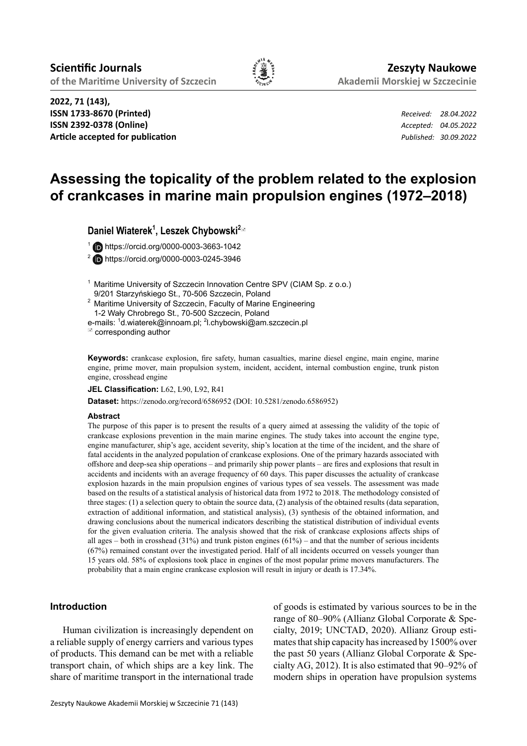

**2022, 71 (143), ISSN 1733-8670 (Printed)** *Received: 28.04.2022* **ISSN 2392-0378 (Online)** *Accepted: 04.05.2022* **Article accepted for publication** *Published: 30.09.2022*

# **Assessing the topicality of the problem related to the explosion of crankcases in marine main propulsion engines (1972–2018)**

**Daniel Wiaterek<sup>1</sup> , Leszek Chybowski<sup>2</sup>**

1 https://orcid.org/0000-0003-3663-1042

2 https://orcid.org/0000-0003-0245-3946

- <sup>1</sup> Maritime University of Szczecin Innovation Centre SPV (CIAM Sp. z o.o.) 9/201 Starzyńskiego St., 70-506 Szczecin, Poland
- <sup>2</sup> Maritime University of Szczecin, Faculty of Marine Engineering 1-2 Wały Chrobrego St., 70-500 Szczecin, Poland

e-mails: <sup>1</sup>d.wiaterek@innoam.pl; <sup>2</sup>l.chybowski@am.szczecin.pl

corresponding author

**Keywords:** crankcase explosion, fire safety, human casualties, marine diesel engine, main engine, marine engine, prime mover, main propulsion system, incident, accident, internal combustion engine, trunk piston engine, crosshead engine

**JEL Classification:** L62, L90, L92, R41

**Dataset:** https://zenodo.org/record/6586952 (DOI: 10.5281/zenodo.6586952)

#### **Abstract**

The purpose of this paper is to present the results of a query aimed at assessing the validity of the topic of crankcase explosions prevention in the main marine engines. The study takes into account the engine type, engine manufacturer, ship's age, accident severity, ship's location at the time of the incident, and the share of fatal accidents in the analyzed population of crankcase explosions. One of the primary hazards associated with offshore and deep-sea ship operations – and primarily ship power plants – are fires and explosions that result in accidents and incidents with an average frequency of 60 days. This paper discusses the actuality of crankcase explosion hazards in the main propulsion engines of various types of sea vessels. The assessment was made based on the results of a statistical analysis of historical data from 1972 to 2018. The methodology consisted of three stages: (1) a selection query to obtain the source data, (2) analysis of the obtained results (data separation, extraction of additional information, and statistical analysis), (3) synthesis of the obtained information, and drawing conclusions about the numerical indicators describing the statistical distribution of individual events for the given evaluation criteria. The analysis showed that the risk of crankcase explosions affects ships of all ages – both in crosshead  $(31\%)$  and trunk piston engines  $(61\%)$  – and that the number of serious incidents (67%) remained constant over the investigated period. Half of all incidents occurred on vessels younger than 15 years old. 58% of explosions took place in engines of the most popular prime movers manufacturers. The probability that a main engine crankcase explosion will result in injury or death is 17.34%.

# **Introduction**

Human civilization is increasingly dependent on a reliable supply of energy carriers and various types of products. This demand can be met with a reliable transport chain, of which ships are a key link. The share of maritime transport in the international trade of goods is estimated by various sources to be in the range of 80–90% (Allianz Global Corporate & Specialty, 2019; UNCTAD, 2020). Allianz Group estimates that ship capacity has increased by 1500% over the past 50 years (Allianz Global Corporate & Specialty AG, 2012). It is also estimated that 90–92% of modern ships in operation have propulsion systems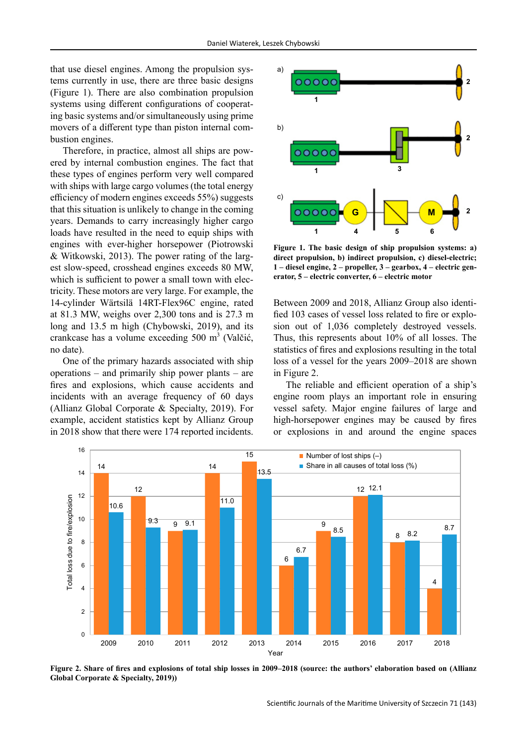that use diesel engines. Among the propulsion systems currently in use, there are three basic designs (Figure 1). There are also combination propulsion systems using different configurations of cooperating basic systems and/or simultaneously using prime movers of a different type than piston internal combustion engines.

Therefore, in practice, almost all ships are powered by internal combustion engines. The fact that these types of engines perform very well compared with ships with large cargo volumes (the total energy efficiency of modern engines exceeds 55%) suggests that this situation is unlikely to change in the coming years. Demands to carry increasingly higher cargo loads have resulted in the need to equip ships with engines with ever-higher horsepower (Piotrowski & Witkowski, 2013). The power rating of the largest slow-speed, crosshead engines exceeds 80 MW, which is sufficient to power a small town with electricity. These motors are very large. For example, the 14-cylinder Wärtsilä 14RT-Flex96C engine, rated at 81.3 MW, weighs over 2,300 tons and is 27.3 m long and 13.5 m high (Chybowski, 2019), and its crankcase has a volume exceeding  $500 \text{ m}^3$  (Valčić, no date).

One of the primary hazards associated with ship operations – and primarily ship power plants – are fires and explosions, which cause accidents and incidents with an average frequency of 60 days (Allianz Global Corporate & Specialty, 2019). For example, accident statistics kept by Allianz Group in 2018 show that there were 174 reported incidents.



**Figure 1. The basic design of ship propulsion systems: a) direct propulsion, b) indirect propulsion, c) diesel-electric; 1 – diesel engine, 2 – propeller, 3 – gearbox, 4 – electric generator, 5 – electric converter, 6 – electric motor**

Between 2009 and 2018, Allianz Group also identified 103 cases of vessel loss related to fire or explosion out of 1,036 completely destroyed vessels. Thus, this represents about 10% of all losses. The statistics of fires and explosions resulting in the total loss of a vessel for the years 2009–2018 are shown in Figure 2.

The reliable and efficient operation of a ship's engine room plays an important role in ensuring vessel safety. Major engine failures of large and high-horsepower engines may be caused by fires or explosions in and around the engine spaces



**Figure 2. Share of fires and explosions of total ship losses in 2009–2018 (source: the authors' elaboration based on (Allianz Global Corporate & Specialty, 2019))**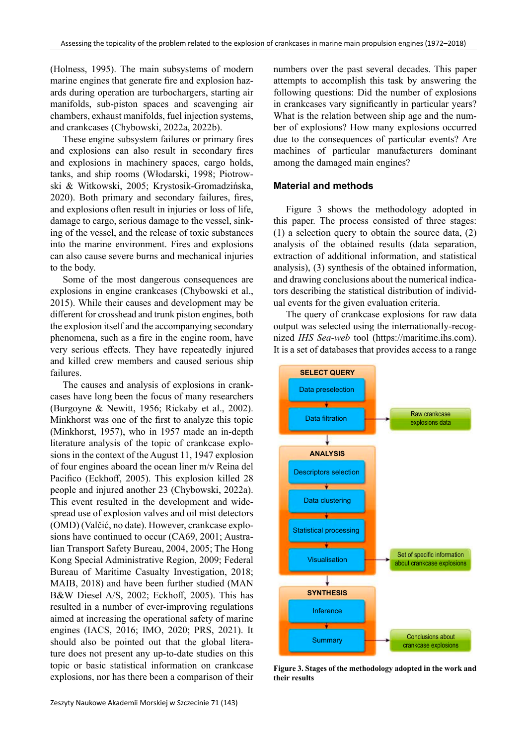(Holness, 1995). The main subsystems of modern marine engines that generate fire and explosion hazards during operation are turbochargers, starting air manifolds, sub-piston spaces and scavenging air chambers, exhaust manifolds, fuel injection systems, and crankcases (Chybowski, 2022a, 2022b).

These engine subsystem failures or primary fires and explosions can also result in secondary fires and explosions in machinery spaces, cargo holds, tanks, and ship rooms (Włodarski, 1998; Piotrowski & Witkowski, 2005; Krystosik-Gromadzińska, 2020). Both primary and secondary failures, fires, and explosions often result in injuries or loss of life, damage to cargo, serious damage to the vessel, sinking of the vessel, and the release of toxic substances into the marine environment. Fires and explosions can also cause severe burns and mechanical injuries to the body.

Some of the most dangerous consequences are explosions in engine crankcases (Chybowski et al., 2015). While their causes and development may be different for crosshead and trunk piston engines, both the explosion itself and the accompanying secondary phenomena, such as a fire in the engine room, have very serious effects. They have repeatedly injured and killed crew members and caused serious ship failures.

The causes and analysis of explosions in crankcases have long been the focus of many researchers (Burgoyne & Newitt, 1956; Rickaby et al., 2002). Minkhorst was one of the first to analyze this topic (Minkhorst, 1957), who in 1957 made an in-depth literature analysis of the topic of crankcase explosions in the context of the August 11, 1947 explosion of four engines aboard the ocean liner m/v Reina del Pacifico (Eckhoff, 2005). This explosion killed 28 people and injured another 23 (Chybowski, 2022a). This event resulted in the development and widespread use of explosion valves and oil mist detectors (OMD) (Valčić, no date). However, crankcase explosions have continued to occur (CA69, 2001; Australian Transport Safety Bureau, 2004, 2005; The Hong Kong Special Administrative Region, 2009; Federal Bureau of Maritime Casualty Investigation, 2018; MAIB, 2018) and have been further studied (MAN B&W Diesel A/S, 2002; Eckhoff, 2005). This has resulted in a number of ever-improving regulations aimed at increasing the operational safety of marine engines (IACS, 2016; IMO, 2020; PRS, 2021). It should also be pointed out that the global literature does not present any up-to-date studies on this topic or basic statistical information on crankcase explosions, nor has there been a comparison of their numbers over the past several decades. This paper attempts to accomplish this task by answering the following questions: Did the number of explosions in crankcases vary significantly in particular years? What is the relation between ship age and the number of explosions? How many explosions occurred due to the consequences of particular events? Are machines of particular manufacturers dominant among the damaged main engines?

## **Material and methods**

Figure 3 shows the methodology adopted in this paper. The process consisted of three stages: (1) a selection query to obtain the source data, (2) analysis of the obtained results (data separation, extraction of additional information, and statistical analysis), (3) synthesis of the obtained information, and drawing conclusions about the numerical indicators describing the statistical distribution of individual events for the given evaluation criteria.

The query of crankcase explosions for raw data output was selected using the internationally-recognized *IHS Sea-web* tool (https://maritime.ihs.com). It is a set of databases that provides access to a range



**Figure 3. Stages of the methodology adopted in the work and their results**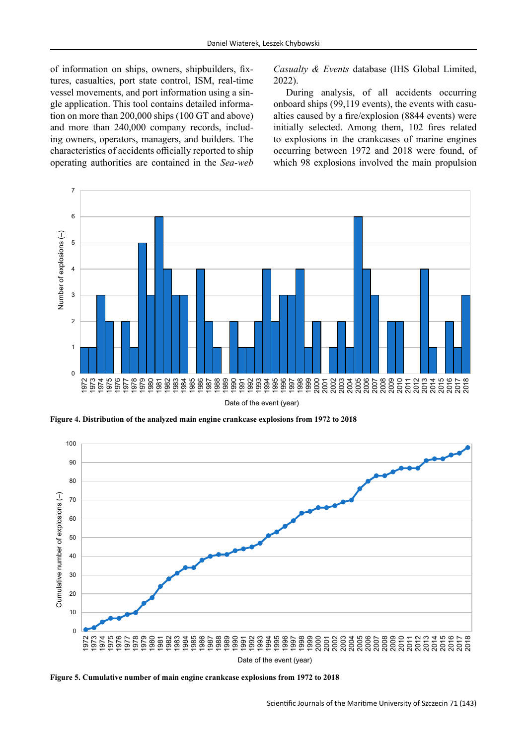of information on ships, owners, shipbuilders, fixtures, casualties, port state control, ISM, real-time vessel movements, and port information using a single application. This tool contains detailed information on more than 200,000 ships (100 GT and above) and more than 240,000 company records, including owners, operators, managers, and builders. The characteristics of accidents officially reported to ship operating authorities are contained in the *Sea-web*  *Casualty & Events* database (IHS Global Limited, 2022).

During analysis, of all accidents occurring onboard ships (99,119 events), the events with casualties caused by a fire/explosion (8844 events) were initially selected. Among them, 102 fires related to explosions in the crankcases of marine engines occurring between 1972 and 2018 were found, of which 98 explosions involved the main propulsion



**Figure 4. Distribution of the analyzed main engine crankcase explosions from 1972 to 2018**



**Figure 5. Cumulative number of main engine crankcase explosions from 1972 to 2018**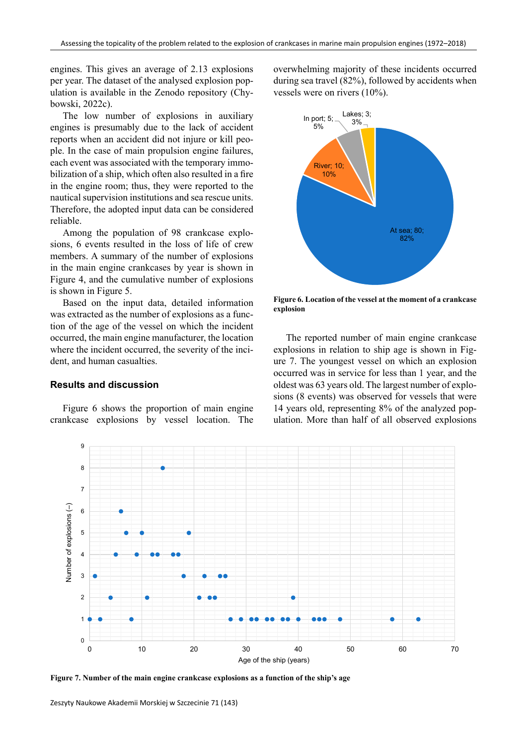engines. This gives an average of 2.13 explosions per year. The dataset of the analysed explosion population is available in the Zenodo repository (Chybowski, 2022c).

The low number of explosions in auxiliary engines is presumably due to the lack of accident reports when an accident did not injure or kill people. In the case of main propulsion engine failures, each event was associated with the temporary immobilization of a ship, which often also resulted in a fire in the engine room; thus, they were reported to the nautical supervision institutions and sea rescue units. Therefore, the adopted input data can be considered reliable.

Among the population of 98 crankcase explosions, 6 events resulted in the loss of life of crew members. A summary of the number of explosions in the main engine crankcases by year is shown in Figure 4, and the cumulative number of explosions is shown in Figure 5.

Based on the input data, detailed information was extracted as the number of explosions as a function of the age of the vessel on which the incident occurred, the main engine manufacturer, the location where the incident occurred, the severity of the incident, and human casualties.

### **Results and discussion**

Figure 6 shows the proportion of main engine crankcase explosions by vessel location. The

overwhelming majority of these incidents occurred during sea travel (82%), followed by accidents when vessels were on rivers (10%).



**Figure 6. Location of the vessel at the moment of a crankcase explosion**

The reported number of main engine crankcase explosions in relation to ship age is shown in Figure 7. The youngest vessel on which an explosion occurred was in service for less than 1 year, and the oldest was 63 years old. The largest number of explosions (8 events) was observed for vessels that were 14 years old, representing 8% of the analyzed population. More than half of all observed explosions

![](_page_4_Figure_11.jpeg)

**Figure 7. Number of the main engine crankcase explosions as a function of the ship's age**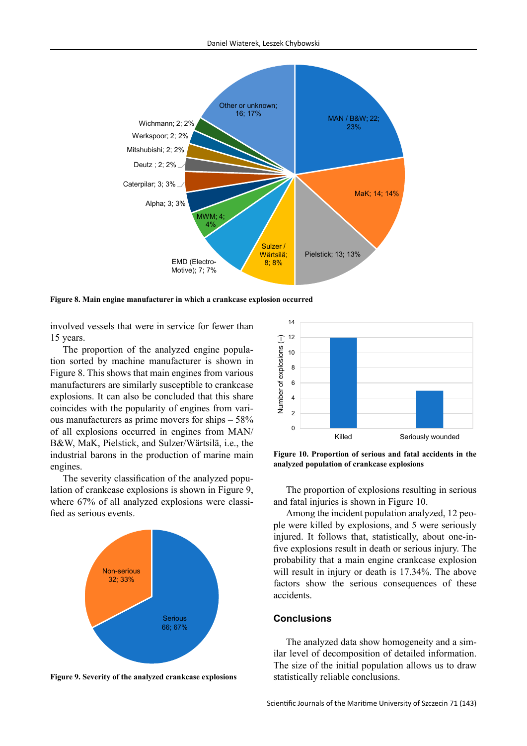![](_page_5_Figure_1.jpeg)

**Figure 8. Main engine manufacturer in which a crankcase explosion occurred**

involved vessels that were in service for fewer than 15 years.

The proportion of the analyzed engine population sorted by machine manufacturer is shown in Figure 8. This shows that main engines from various manufacturers are similarly susceptible to crankcase explosions. It can also be concluded that this share coincides with the popularity of engines from various manufacturers as prime movers for ships – 58% of all explosions occurred in engines from MAN/ B&W, MaK, Pielstick, and Sulzer/Wärtsilä, i.e., the industrial barons in the production of marine main engines.

The severity classification of the analyzed population of crankcase explosions is shown in Figure 9, where 67% of all analyzed explosions were classified as serious events.

![](_page_5_Figure_6.jpeg)

**Figure 9. Severity of the analyzed crankcase explosions**

![](_page_5_Figure_8.jpeg)

**Figure 10. Proportion of serious and fatal accidents in the analyzed population of crankcase explosions**

The proportion of explosions resulting in serious and fatal injuries is shown in Figure 10.

Among the incident population analyzed, 12 people were killed by explosions, and 5 were seriously injured. It follows that, statistically, about one-infive explosions result in death or serious injury. The probability that a main engine crankcase explosion will result in injury or death is 17.34%. The above factors show the serious consequences of these accidents.

#### **Conclusions**

The analyzed data show homogeneity and a similar level of decomposition of detailed information. The size of the initial population allows us to draw statistically reliable conclusions.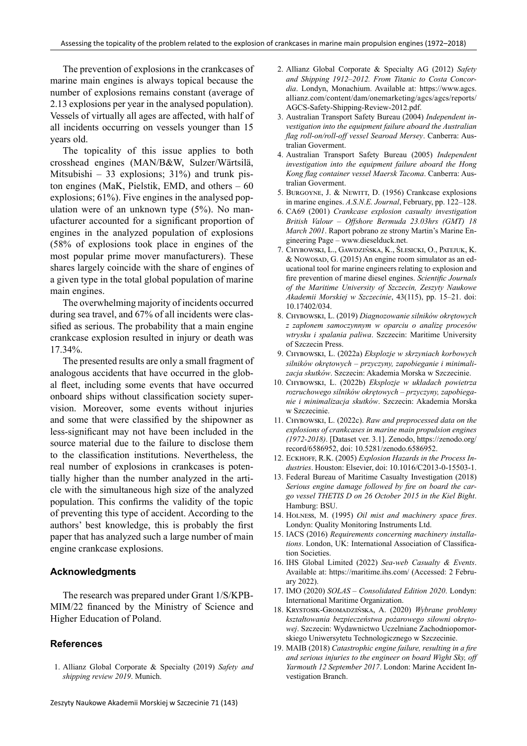The prevention of explosions in the crankcases of marine main engines is always topical because the number of explosions remains constant (average of 2.13 explosions per year in the analysed population). Vessels of virtually all ages are affected, with half of all incidents occurring on vessels younger than 15 years old.

The topicality of this issue applies to both crosshead engines (MAN/B&W, Sulzer/Wärtsilä, Mitsubishi – 33 explosions;  $31\%$ ) and trunk piston engines (MaK, Pielstik, EMD, and others – 60 explosions; 61%). Five engines in the analysed population were of an unknown type (5%). No manufacturer accounted for a significant proportion of engines in the analyzed population of explosions (58% of explosions took place in engines of the most popular prime mover manufacturers). These shares largely coincide with the share of engines of a given type in the total global population of marine main engines.

The overwhelming majority of incidents occurred during sea travel, and 67% of all incidents were classified as serious. The probability that a main engine crankcase explosion resulted in injury or death was 17.34%.

The presented results are only a small fragment of analogous accidents that have occurred in the global fleet, including some events that have occurred onboard ships without classification society supervision. Moreover, some events without injuries and some that were classified by the shipowner as less-significant may not have been included in the source material due to the failure to disclose them to the classification institutions. Nevertheless, the real number of explosions in crankcases is potentially higher than the number analyzed in the article with the simultaneous high size of the analyzed population. This confirms the validity of the topic of preventing this type of accident. According to the authors' best knowledge, this is probably the first paper that has analyzed such a large number of main engine crankcase explosions.

#### **Acknowledgments**

The research was prepared under Grant 1/S/KPB-MIM/22 financed by the Ministry of Science and Higher Education of Poland.

# **References**

1. Allianz Global Corporate & Specialty (2019) *Safety and shipping review 2019*. Munich.

- 2. Allianz Global Corporate & Specialty AG (2012) *Safety and Shipping 1912–2012. From Titanic to Costa Concordia*. Londyn, Monachium. Available at: https://www.agcs. allianz.com/content/dam/onemarketing/agcs/agcs/reports/ AGCS-Safety-Shipping-Review-2012.pdf.
- 3. Australian Transport Safety Bureau (2004) *Independent investigation into the equipment failure aboard the Australian flag roll-on/roll-off vessel Searoad Mersey*. Canberra: Australian Goverment.
- 4. Australian Transport Safety Bureau (2005) *Independent investigation into the equipment failure aboard the Hong Kong flag container vessel Maersk Tacoma*. Canberra: Australian Goverment.
- 5. Burgoyne, J. & Newitt, D. (1956) Crankcase explosions in marine engines. *A.S.N.E. Journal*, February, pp. 122–128.
- 6. CA69 (2001) *Crankcase explosion casualty investigation British Valour – Offshore Bermuda 23.03hrs (GMT) 18 March 2001*. Raport pobrano ze strony Martin's Marine Engineering Page – www.dieselduck.net.
- 7. Chybowski, L., Gawdzińska, K., Ślesicki, O., Patejuk, K. & Nowosap, G. (2015) An engine room simulator as an educational tool for marine engineers relating to explosion and fire prevention of marine diesel engines. *Scientific Journals of the Maritime University of Szczecin, Zeszyty Naukowe Akademii Morskiej w Szczecinie*, 43(115), pp. 15–21. doi: 10.17402/034.
- 8. Chybowski, L. (2019) *Diagnozowanie silników okrętowych z zapłonem samoczynnym w oparciu o analizę procesów wtrysku i spalania paliwa*. Szczecin: Maritime University of Szczecin Press.
- 9. Chybowski, L. (2022a) *Eksplozje w skrzyniach korbowych silników okrętowych – przyczyny, zapobieganie i minimalizacja skutków*. Szczecin: Akademia Morska w Szczecinie.
- 10. Chybowski, L. (2022b) *Eksplozje w układach powietrza rozruchowego silników okrętowych – przyczyny, zapobieganie i minimalizacja skutków*. Szczecin: Akademia Morska w Szczecinie.
- 11. Chybowski, L. (2022c). *Raw and preprocessed data on the explosions of crankcases in marine main propulsion engines (1972-2018)*. [Dataset ver. 3.1]. Zenodo, https://zenodo.org/ record/6586952, doi: 10.5281/zenodo.6586952.
- 12. Ескноғғ, R.K. (2005) *Explosion Hazards in the Process Industries*. Houston: Elsevier, doi: 10.1016/C2013-0-15503-1.
- 13. Federal Bureau of Maritime Casualty Investigation (2018) *Serious engine damage followed by fire on board the cargo vessel THETIS D on 26 October 2015 in the Kiel Bight*. Hamburg: BSU.
- 14. Holness, M. (1995) *Oil mist and machinery space fires*. Londyn: Quality Monitoring Instruments Ltd.
- 15. IACS (2016) *Requirements concerning machinery installations*. London, UK: International Association of Classification Societies.
- 16. IHS Global Limited (2022) *Sea-web Casualty & Events*. Available at: https://maritime.ihs.com/ (Accessed: 2 February 2022).
- 17. IMO (2020) *SOLAS Consolidated Edition 2020*. Londyn: International Maritime Organization.
- 18. Krystosik-Gromadzińska, A. (2020) *Wybrane problemy kształtowania bezpieczeństwa pożarowego siłowni okrętowej*. Szczecin: Wydawnictwo Uczelniane Zachodniopomorskiego Uniwersytetu Technologicznego w Szczecinie.
- 19. MAIB (2018) *Catastrophic engine failure, resulting in a fire and serious injuries to the engineer on board Wight Sky, off Yarmouth 12 September 2017*. London: Marine Accident Investigation Branch.